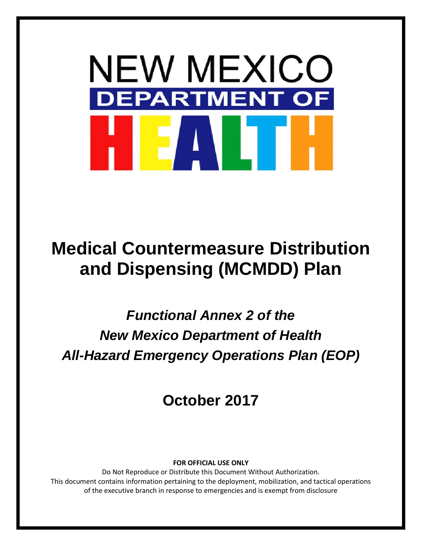

# **Medical Countermeasure Distribution and Dispensing (MCMDD) Plan**

*Functional Annex 2 of the New Mexico Department of Health All-Hazard Emergency Operations Plan (EOP)*

**October 2017**

**FOR OFFICIAL USE ONLY**

Do Not Reproduce or Distribute this Document Without Authorization. This document contains information pertaining to the deployment, mobilization, and tactical operations of the executive branch in response to emergencies and is exempt from disclosure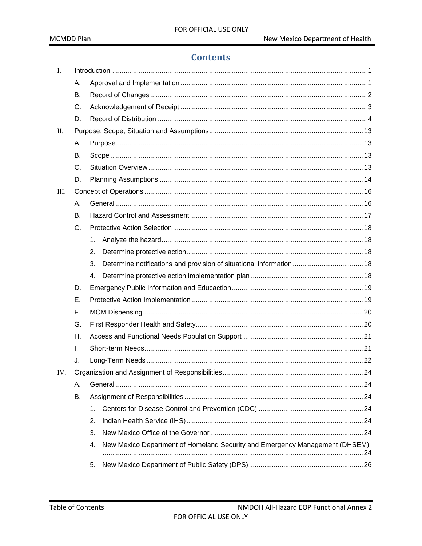### **Contents**

| I.  |           |                                                                                   |
|-----|-----------|-----------------------------------------------------------------------------------|
|     | Α.        |                                                                                   |
|     | <b>B.</b> |                                                                                   |
|     | C.        |                                                                                   |
|     | D.        |                                                                                   |
| II. |           |                                                                                   |
|     | Α.        |                                                                                   |
|     | <b>B.</b> |                                                                                   |
|     | C.        |                                                                                   |
|     | D.        |                                                                                   |
| Ш.  |           |                                                                                   |
|     | А.        |                                                                                   |
|     | <b>B.</b> |                                                                                   |
|     | C.        |                                                                                   |
|     |           | 1.                                                                                |
|     |           | 2.                                                                                |
|     |           | Determine notifications and provision of situational information 18<br>3.         |
|     |           |                                                                                   |
|     | D.        |                                                                                   |
|     | Ε.        |                                                                                   |
|     | F.        |                                                                                   |
|     | G.        |                                                                                   |
|     | Η.        |                                                                                   |
|     | T.        |                                                                                   |
|     | J.        |                                                                                   |
| IV. |           |                                                                                   |
|     | А.        |                                                                                   |
|     | В.        |                                                                                   |
|     |           | 1.                                                                                |
|     |           | 2.                                                                                |
|     |           | 3.                                                                                |
|     |           | New Mexico Department of Homeland Security and Emergency Management (DHSEM)<br>4. |
|     |           | 5.                                                                                |
|     |           |                                                                                   |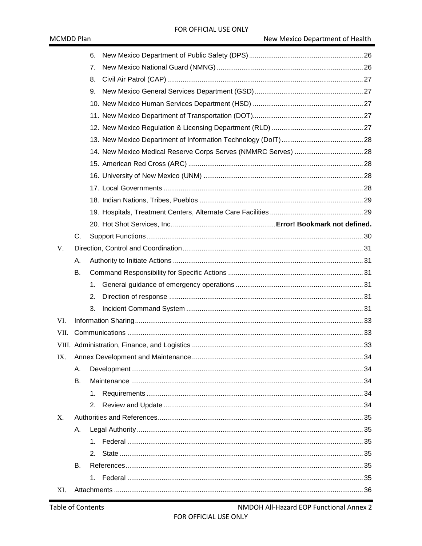|      |    | 6.                                                             |  |
|------|----|----------------------------------------------------------------|--|
|      |    | 7.                                                             |  |
|      |    | 8.                                                             |  |
|      |    | 9.                                                             |  |
|      |    |                                                                |  |
|      |    |                                                                |  |
|      |    |                                                                |  |
|      |    |                                                                |  |
|      |    | 14. New Mexico Medical Reserve Corps Serves (NMMRC Serves)  28 |  |
|      |    |                                                                |  |
|      |    |                                                                |  |
|      |    |                                                                |  |
|      |    |                                                                |  |
|      |    |                                                                |  |
|      |    |                                                                |  |
|      | C. |                                                                |  |
| V.   |    |                                                                |  |
|      | А. |                                                                |  |
|      | В. |                                                                |  |
|      |    | 1.                                                             |  |
|      |    | 2.                                                             |  |
|      |    | 3.                                                             |  |
| VI.  |    |                                                                |  |
| VII. |    |                                                                |  |
|      |    |                                                                |  |
| IX.  |    |                                                                |  |
|      | А. |                                                                |  |
|      | В. |                                                                |  |
|      |    | 1.                                                             |  |
|      |    | 2.                                                             |  |
| X.   |    |                                                                |  |
|      | А. |                                                                |  |
|      |    |                                                                |  |
|      |    | 2.                                                             |  |
|      | В. |                                                                |  |
|      |    | 1.                                                             |  |
| XI.  |    |                                                                |  |
|      |    |                                                                |  |

NMDOH All-Hazard EOP Functional Annex 2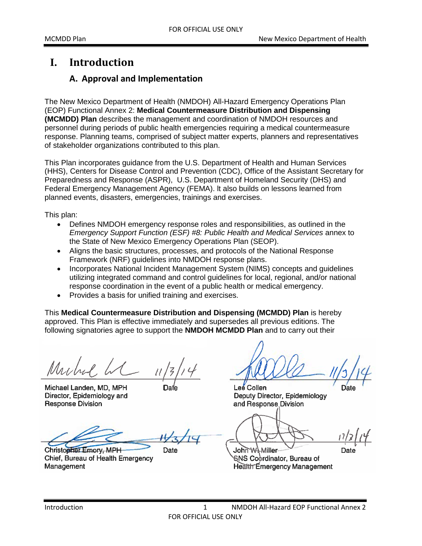### <span id="page-3-1"></span><span id="page-3-0"></span>**I. Introduction**

#### **A. Approval and Implementation**

The New Mexico Department of Health (NMDOH) All-Hazard Emergency Operations Plan (EOP) Functional Annex 2: **Medical Countermeasure Distribution and Dispensing (MCMDD) Plan** describes the management and coordination of NMDOH resources and personnel during periods of public health emergencies requiring a medical countermeasure response. Planning teams, comprised of subject matter experts, planners and representatives of stakeholder organizations contributed to this plan.

This Plan incorporates guidance from the U.S. Department of Health and Human Services (HHS), Centers for Disease Control and Prevention (CDC), Office of the Assistant Secretary for Preparedness and Response (ASPR), U.S. Department of Homeland Security (DHS) and Federal Emergency Management Agency (FEMA). lt also builds on lessons learned from planned events, disasters, emergencies, trainings and exercises.

This plan:

- Defines NMDOH emergency response roles and responsibilities, as outlined in the *Emergency Support Function (ESF) #8: Public Health and Medical Services* annex to the State of New Mexico Emergency Operations Plan (SEOP).
- Aligns the basic structures, processes, and protocols of the National Response Framework (NRF) guidelines into NMDOH response plans.
- Incorporates National Incident Management System (NIMS) concepts and guidelines utilizing integrated command and control guidelines for local, regional, and/or national response coordination in the event of a public health or medical emergency.
- Provides a basis for unified training and exercises.

This **Medical Countermeasure Distribution and Dispensing (MCMDD) Plan** is hereby approved. This Plan is effective immediately and supersedes all previous editions. The following signatories agree to support the **NMDOH MCMDD Plan** and to carry out their

Muhal

Michael Landen, MD, MPH Director, Epidemiology and Response Division

Christopher Emory, MPH Chief, Bureau of Health Emergency Management

Date

Lee Collen Deputy Director, Epidemiology and Response Division

Date

Date **John WA Miller** SNS Coordinator, Bureau of Health Emergency Management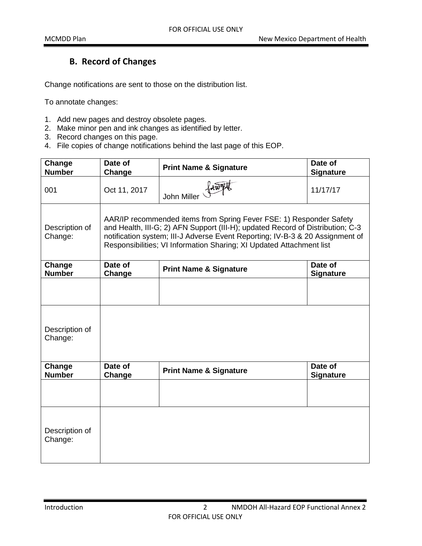### <span id="page-4-0"></span>**B. Record of Changes**

Change notifications are sent to those on the distribution list.

To annotate changes:

- 1. Add new pages and destroy obsolete pages.
- 2. Make minor pen and ink changes as identified by letter.
- 3. Record changes on this page.
- 4. File copies of change notifications behind the last page of this EOP.

| Change<br><b>Number</b>   | Date of<br>Change | <b>Print Name &amp; Signature</b>                                                                                                                                                                                                                                                                              | Date of<br><b>Signature</b> |
|---------------------------|-------------------|----------------------------------------------------------------------------------------------------------------------------------------------------------------------------------------------------------------------------------------------------------------------------------------------------------------|-----------------------------|
| 001                       | Oct 11, 2017      | John Miller                                                                                                                                                                                                                                                                                                    | 11/17/17                    |
| Description of<br>Change: |                   | AAR/IP recommended items from Spring Fever FSE: 1) Responder Safety<br>and Health, III-G; 2) AFN Support (III-H); updated Record of Distribution; C-3<br>notification system; III-J Adverse Event Reporting; IV-B-3 & 20 Assignment of<br>Responsibilities; VI Information Sharing; XI Updated Attachment list |                             |
| Change<br><b>Number</b>   | Date of<br>Change | <b>Print Name &amp; Signature</b>                                                                                                                                                                                                                                                                              | Date of<br><b>Signature</b> |
|                           |                   |                                                                                                                                                                                                                                                                                                                |                             |
| Description of<br>Change: |                   |                                                                                                                                                                                                                                                                                                                |                             |
| Change<br><b>Number</b>   | Date of<br>Change | <b>Print Name &amp; Signature</b>                                                                                                                                                                                                                                                                              | Date of<br><b>Signature</b> |
|                           |                   |                                                                                                                                                                                                                                                                                                                |                             |
| Description of<br>Change: |                   |                                                                                                                                                                                                                                                                                                                |                             |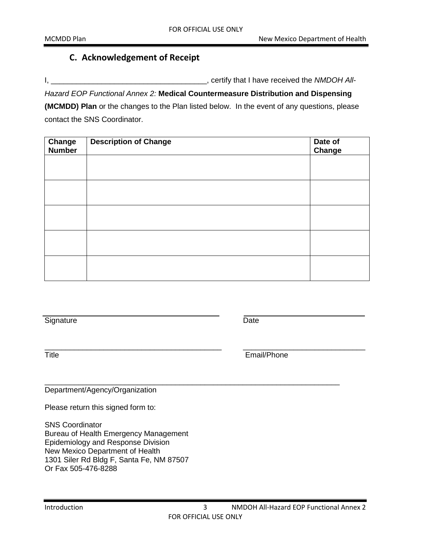### **C. Acknowledgement of Receipt**

<span id="page-5-0"></span>I, \_\_\_\_\_\_\_\_\_\_\_\_\_\_\_\_\_\_\_\_\_\_\_\_\_\_\_\_\_\_\_\_\_\_\_\_\_, certify that I have received the *NMDOH All-*

*Hazard EOP Functional Annex 2:* **Medical Countermeasure Distribution and Dispensing**

**(MCMDD) Plan** or the changes to the Plan listed below. In the event of any questions, please contact the SNS Coordinator.

| Change<br><b>Number</b> | <b>Description of Change</b> | Date of<br>Change |
|-------------------------|------------------------------|-------------------|
|                         |                              |                   |
|                         |                              |                   |
|                         |                              |                   |
|                         |                              |                   |
|                         |                              |                   |

\_\_\_\_\_\_\_\_\_\_\_\_\_\_\_\_\_\_\_\_\_\_\_\_\_\_\_\_\_\_\_\_\_\_\_\_\_\_\_\_\_\_\_\_\_\_\_\_\_\_\_\_\_\_\_\_\_\_\_\_\_\_\_\_\_\_\_\_\_\_

Signature Date

\_\_\_\_\_\_\_\_\_\_\_\_\_\_\_\_\_\_\_\_\_\_\_\_\_\_\_\_\_\_\_\_\_\_\_\_\_\_\_\_\_\_ \_\_\_\_\_\_\_\_\_\_\_\_\_\_\_\_\_\_\_\_\_\_\_\_\_\_\_\_\_ Title **Email/Phone** 

Department/Agency/Organization

Please return this signed form to:

SNS Coordinator Bureau of Health Emergency Management Epidemiology and Response Division New Mexico Department of Health 1301 Siler Rd Bldg F, Santa Fe, NM 87507 Or Fax 505-476-8288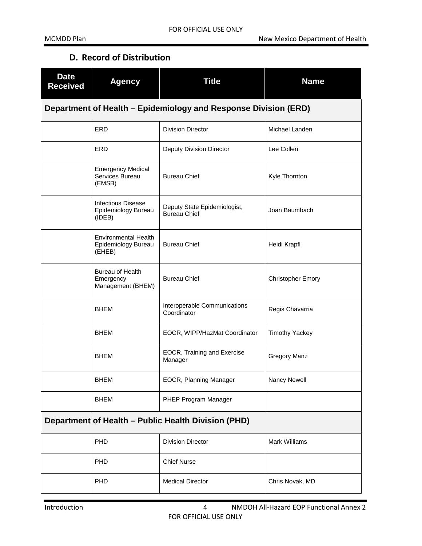### **D. Record of Distribution**

<span id="page-6-0"></span>

| <b>Date</b><br><b>Received</b> | <b>Agency</b>                                                   | <b>Title</b>                                        | <b>Name</b>              |  |  |
|--------------------------------|-----------------------------------------------------------------|-----------------------------------------------------|--------------------------|--|--|
|                                | Department of Health - Epidemiology and Response Division (ERD) |                                                     |                          |  |  |
|                                | <b>ERD</b>                                                      | <b>Division Director</b>                            | Michael Landen           |  |  |
|                                | ERD                                                             | Deputy Division Director                            | Lee Collen               |  |  |
|                                | <b>Emergency Medical</b><br>Services Bureau<br>(EMSB)           | <b>Bureau Chief</b>                                 | Kyle Thornton            |  |  |
|                                | <b>Infectious Disease</b><br>Epidemiology Bureau<br>(IDEB)      | Deputy State Epidemiologist,<br><b>Bureau Chief</b> | Joan Baumbach            |  |  |
|                                | <b>Environmental Health</b><br>Epidemiology Bureau<br>(EHEB)    | <b>Bureau Chief</b>                                 | Heidi Krapfl             |  |  |
|                                | Bureau of Health<br>Emergency<br>Management (BHEM)              | <b>Bureau Chief</b>                                 | <b>Christopher Emory</b> |  |  |
|                                | <b>BHEM</b>                                                     | Interoperable Communications<br>Coordinator         | Regis Chavarria          |  |  |
|                                | <b>BHEM</b>                                                     | EOCR, WIPP/HazMat Coordinator                       | <b>Timothy Yackey</b>    |  |  |
|                                | <b>BHEM</b>                                                     | EOCR, Training and Exercise<br>Manager              | <b>Gregory Manz</b>      |  |  |
|                                | <b>BHEM</b>                                                     | EOCR, Planning Manager                              | Nancy Newell             |  |  |
|                                | <b>BHEM</b>                                                     | PHEP Program Manager                                |                          |  |  |
|                                |                                                                 | Department of Health - Public Health Division (PHD) |                          |  |  |
|                                | PHD                                                             | <b>Division Director</b>                            | Mark Williams            |  |  |
|                                | <b>PHD</b>                                                      | <b>Chief Nurse</b>                                  |                          |  |  |
|                                | <b>PHD</b>                                                      | <b>Medical Director</b>                             | Chris Novak, MD          |  |  |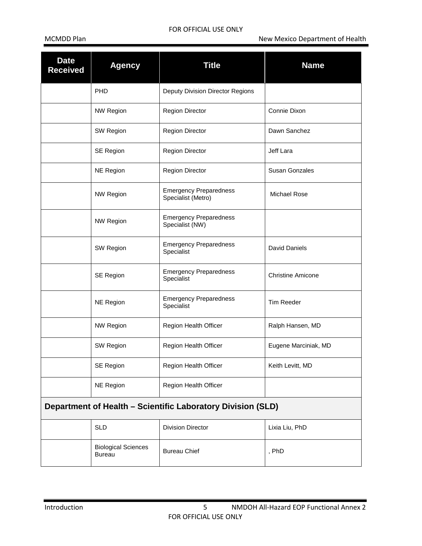| <b>Date</b><br><b>Received</b> | <b>Agency</b>                               | <b>Title</b>                                                | <b>Name</b>              |
|--------------------------------|---------------------------------------------|-------------------------------------------------------------|--------------------------|
|                                | PHD                                         | Deputy Division Director Regions                            |                          |
|                                | <b>NW Region</b>                            | <b>Region Director</b>                                      | Connie Dixon             |
|                                | SW Region                                   | <b>Region Director</b>                                      | Dawn Sanchez             |
|                                | SE Region                                   | Region Director                                             | Jeff Lara                |
|                                | <b>NE Region</b>                            | <b>Region Director</b>                                      | <b>Susan Gonzales</b>    |
|                                | <b>NW Region</b>                            | <b>Emergency Preparedness</b><br>Specialist (Metro)         | <b>Michael Rose</b>      |
|                                | <b>NW Region</b>                            | <b>Emergency Preparedness</b><br>Specialist (NW)            |                          |
|                                | SW Region                                   | <b>Emergency Preparedness</b><br>Specialist                 | <b>David Daniels</b>     |
|                                | SE Region                                   | <b>Emergency Preparedness</b><br>Specialist                 | <b>Christine Amicone</b> |
|                                | <b>NE Region</b>                            | <b>Emergency Preparedness</b><br>Specialist                 | <b>Tim Reeder</b>        |
|                                | <b>NW Region</b>                            | Region Health Officer                                       | Ralph Hansen, MD         |
|                                | SW Region                                   | Region Health Officer                                       | Eugene Marciniak, MD     |
|                                | SE Region                                   | Region Health Officer                                       | Keith Levitt, MD         |
|                                | <b>NE Region</b>                            | Region Health Officer                                       |                          |
|                                |                                             | Department of Health - Scientific Laboratory Division (SLD) |                          |
|                                | <b>SLD</b>                                  | <b>Division Director</b>                                    | Lixia Liu, PhD           |
|                                | <b>Biological Sciences</b><br><b>Bureau</b> | <b>Bureau Chief</b>                                         | , PhD                    |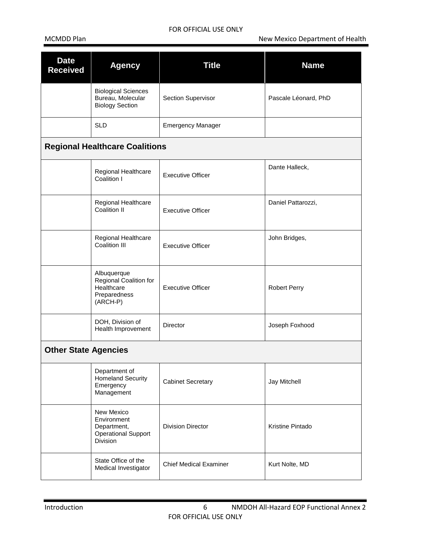| <b>Date</b><br><b>Received</b> | <b>Agency</b>                                                                      | <b>Title</b>                  | <b>Name</b>          |
|--------------------------------|------------------------------------------------------------------------------------|-------------------------------|----------------------|
|                                | <b>Biological Sciences</b><br>Bureau, Molecular<br><b>Biology Section</b>          | Section Supervisor            | Pascale Léonard, PhD |
|                                | <b>SLD</b>                                                                         | <b>Emergency Manager</b>      |                      |
|                                | <b>Regional Healthcare Coalitions</b>                                              |                               |                      |
|                                | Regional Healthcare<br>Coalition I                                                 | <b>Executive Officer</b>      | Dante Halleck,       |
|                                | Regional Healthcare<br>Coalition II                                                | <b>Executive Officer</b>      | Daniel Pattarozzi,   |
|                                | Regional Healthcare<br>Coalition III                                               | <b>Executive Officer</b>      | John Bridges,        |
|                                | Albuquerque<br>Regional Coalition for<br>Healthcare<br>Preparedness<br>(ARCH-P)    | <b>Executive Officer</b>      | <b>Robert Perry</b>  |
|                                | DOH, Division of<br>Health Improvement                                             | Director                      | Joseph Foxhood       |
| <b>Other State Agencies</b>    |                                                                                    |                               |                      |
|                                | Department of<br><b>Homeland Security</b><br>Emergency<br>Management               | <b>Cabinet Secretary</b>      | Jay Mitchell         |
|                                | New Mexico<br>Environment<br>Department,<br><b>Operational Support</b><br>Division | <b>Division Director</b>      | Kristine Pintado     |
|                                | State Office of the<br>Medical Investigator                                        | <b>Chief Medical Examiner</b> | Kurt Nolte, MD       |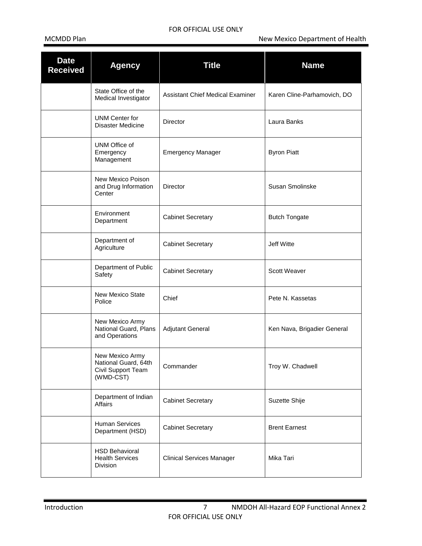| <b>Date</b><br><b>Received</b> | <b>Agency</b>                                                              | <b>Title</b>                            | <b>Name</b>                 |
|--------------------------------|----------------------------------------------------------------------------|-----------------------------------------|-----------------------------|
|                                | State Office of the<br>Medical Investigator                                | <b>Assistant Chief Medical Examiner</b> | Karen Cline-Parhamovich, DO |
|                                | <b>UNM Center for</b><br><b>Disaster Medicine</b>                          | Director                                | Laura Banks                 |
|                                | UNM Office of<br>Emergency<br>Management                                   | <b>Emergency Manager</b>                | <b>Byron Piatt</b>          |
|                                | New Mexico Poison<br>and Drug Information<br>Center                        | Director                                | Susan Smolinske             |
|                                | Environment<br>Department                                                  | <b>Cabinet Secretary</b>                | <b>Butch Tongate</b>        |
|                                | Department of<br>Agriculture                                               | <b>Cabinet Secretary</b>                | Jeff Witte                  |
|                                | Department of Public<br>Safety                                             | <b>Cabinet Secretary</b>                | Scott Weaver                |
|                                | New Mexico State<br>Police                                                 | Chief                                   | Pete N. Kassetas            |
|                                | New Mexico Army<br>National Guard, Plans<br>and Operations                 | Adjutant General                        | Ken Nava, Brigadier General |
|                                | New Mexico Army<br>National Guard, 64th<br>Civil Support Team<br>(WMD-CST) | Commander                               | Troy W. Chadwell            |
|                                | Department of Indian<br>Affairs                                            | <b>Cabinet Secretary</b>                | Suzette Shije               |
|                                | <b>Human Services</b><br>Department (HSD)                                  | <b>Cabinet Secretary</b>                | <b>Brent Earnest</b>        |
|                                | <b>HSD Behavioral</b><br><b>Health Services</b><br>Division                | <b>Clinical Services Manager</b>        | Mika Tari                   |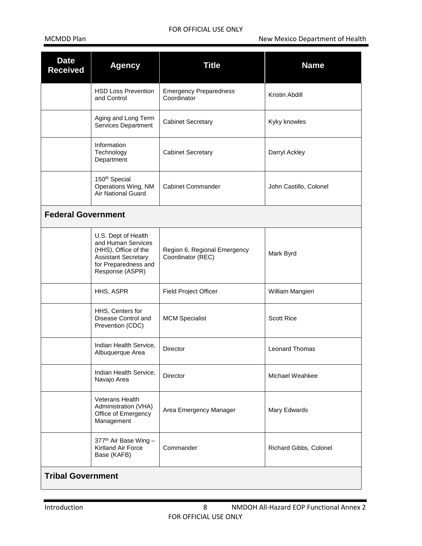| <b>Date</b><br><b>Received</b> | <b>Agency</b>                                                                                                                              | <b>Title</b>                                      | <b>Name</b>            |
|--------------------------------|--------------------------------------------------------------------------------------------------------------------------------------------|---------------------------------------------------|------------------------|
|                                | <b>HSD Loss Prevention</b><br>and Control                                                                                                  | <b>Emergency Preparedness</b><br>Coordinator      | Kristin Abdill         |
|                                | Aging and Long Term<br>Services Department                                                                                                 | <b>Cabinet Secretary</b>                          | Kyky knowles           |
|                                | Information<br>Technology<br>Department                                                                                                    | <b>Cabinet Secretary</b>                          | Darryl Ackley          |
|                                | 150 <sup>th</sup> Special<br>Operations Wing, NM<br><b>Air National Guard</b>                                                              | <b>Cabinet Commander</b>                          | John Castillo, Colonel |
| <b>Federal Government</b>      |                                                                                                                                            |                                                   |                        |
|                                | U.S. Dept of Health<br>and Human Services<br>(HHS), Office of the<br><b>Assistant Secretary</b><br>for Preparedness and<br>Response (ASPR) | Region 6, Regional Emergency<br>Coordinator (REC) | Mark Byrd              |
|                                | HHS, ASPR                                                                                                                                  | <b>Field Project Officer</b>                      | William Mangieri       |
|                                | HHS, Centers for<br>Disease Control and<br>Prevention (CDC)                                                                                | <b>MCM Specialist</b>                             | <b>Scott Rice</b>      |
|                                | Indian Health Service,<br>Albuquerque Area                                                                                                 | Director                                          | <b>Leonard Thomas</b>  |
|                                | Indian Health Service,<br>Navajo Area                                                                                                      | Director                                          | Michael Weahkee        |
|                                | Veterans Health<br>Administration (VHA)<br>Office of Emergency<br>Management                                                               | Area Emergency Manager                            | Mary Edwards           |
|                                | 377 <sup>th</sup> Air Base Wing -<br><b>Kirtland Air Force</b><br>Base (KAFB)                                                              | Commander                                         | Richard Gibbs, Colonel |
| <b>Tribal Government</b>       |                                                                                                                                            |                                                   |                        |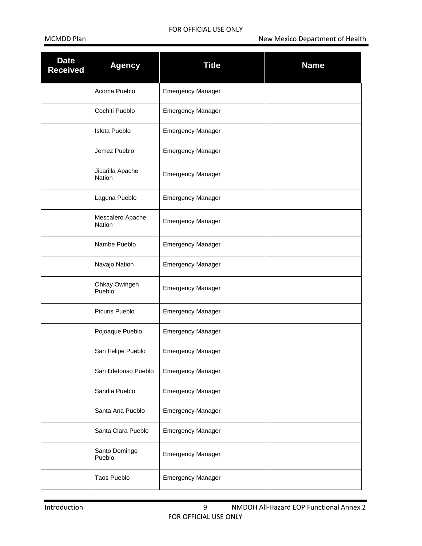| <b>Date</b><br><b>Received</b> | <b>Agency</b>                     | <b>Title</b>             | <b>Name</b> |
|--------------------------------|-----------------------------------|--------------------------|-------------|
|                                | Acoma Pueblo                      | <b>Emergency Manager</b> |             |
|                                | Cochiti Pueblo                    | <b>Emergency Manager</b> |             |
|                                | Isleta Pueblo                     | <b>Emergency Manager</b> |             |
|                                | Jemez Pueblo                      | <b>Emergency Manager</b> |             |
|                                | Jicarilla Apache<br>Nation        | <b>Emergency Manager</b> |             |
|                                | Laguna Pueblo                     | <b>Emergency Manager</b> |             |
|                                | Mescalero Apache<br><b>Nation</b> | <b>Emergency Manager</b> |             |
|                                | Nambe Pueblo                      | <b>Emergency Manager</b> |             |
|                                | Navajo Nation                     | <b>Emergency Manager</b> |             |
|                                | Ohkay Owingeh<br>Pueblo           | <b>Emergency Manager</b> |             |
|                                | Picuris Pueblo                    | <b>Emergency Manager</b> |             |
|                                | Pojoaque Pueblo                   | <b>Emergency Manager</b> |             |
|                                | San Felipe Pueblo                 | <b>Emergency Manager</b> |             |
|                                | San Ildefonso Pueblo              | <b>Emergency Manager</b> |             |
|                                | Sandia Pueblo                     | <b>Emergency Manager</b> |             |
|                                | Santa Ana Pueblo                  | <b>Emergency Manager</b> |             |
|                                | Santa Clara Pueblo                | <b>Emergency Manager</b> |             |
|                                | Santo Domingo<br>Pueblo           | <b>Emergency Manager</b> |             |
|                                | Taos Pueblo                       | <b>Emergency Manager</b> |             |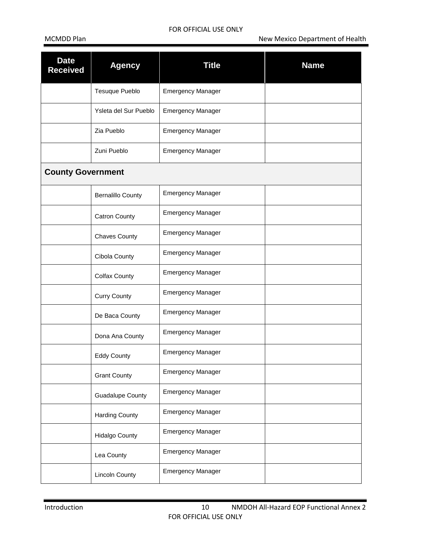| <b>Date</b><br><b>Received</b> | <b>Agency</b>            | <b>Title</b>             | <b>Name</b> |
|--------------------------------|--------------------------|--------------------------|-------------|
|                                | Tesuque Pueblo           | <b>Emergency Manager</b> |             |
|                                | Ysleta del Sur Pueblo    | <b>Emergency Manager</b> |             |
|                                | Zia Pueblo               | <b>Emergency Manager</b> |             |
|                                | Zuni Pueblo              | <b>Emergency Manager</b> |             |
| <b>County Government</b>       |                          |                          |             |
|                                | <b>Bernalillo County</b> | <b>Emergency Manager</b> |             |
|                                | <b>Catron County</b>     | <b>Emergency Manager</b> |             |
|                                | <b>Chaves County</b>     | <b>Emergency Manager</b> |             |
|                                | Cibola County            | <b>Emergency Manager</b> |             |
|                                | Colfax County            | <b>Emergency Manager</b> |             |
|                                | <b>Curry County</b>      | <b>Emergency Manager</b> |             |
|                                | De Baca County           | <b>Emergency Manager</b> |             |
|                                | Dona Ana County          | <b>Emergency Manager</b> |             |
|                                | Eddy County              | <b>Emergency Manager</b> |             |
|                                | <b>Grant County</b>      | <b>Emergency Manager</b> |             |
|                                | <b>Guadalupe County</b>  | <b>Emergency Manager</b> |             |
|                                | <b>Harding County</b>    | <b>Emergency Manager</b> |             |
|                                | <b>Hidalgo County</b>    | <b>Emergency Manager</b> |             |
|                                | Lea County               | <b>Emergency Manager</b> |             |
|                                | <b>Lincoln County</b>    | <b>Emergency Manager</b> |             |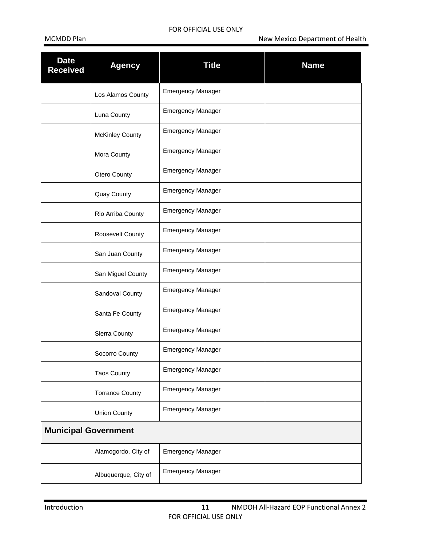| <b>Date</b><br><b>Received</b> | <b>Agency</b>          | <b>Title</b>             | <b>Name</b> |
|--------------------------------|------------------------|--------------------------|-------------|
|                                | Los Alamos County      | <b>Emergency Manager</b> |             |
|                                | Luna County            | <b>Emergency Manager</b> |             |
|                                | <b>McKinley County</b> | <b>Emergency Manager</b> |             |
|                                | Mora County            | <b>Emergency Manager</b> |             |
|                                | Otero County           | <b>Emergency Manager</b> |             |
|                                | Quay County            | <b>Emergency Manager</b> |             |
|                                | Rio Arriba County      | <b>Emergency Manager</b> |             |
|                                | Roosevelt County       | <b>Emergency Manager</b> |             |
|                                | San Juan County        | <b>Emergency Manager</b> |             |
|                                | San Miguel County      | <b>Emergency Manager</b> |             |
|                                | Sandoval County        | <b>Emergency Manager</b> |             |
|                                | Santa Fe County        | <b>Emergency Manager</b> |             |
|                                | Sierra County          | <b>Emergency Manager</b> |             |
|                                | Socorro County         | <b>Emergency Manager</b> |             |
|                                | <b>Taos County</b>     | <b>Emergency Manager</b> |             |
|                                | <b>Torrance County</b> | <b>Emergency Manager</b> |             |
|                                | <b>Union County</b>    | <b>Emergency Manager</b> |             |
| <b>Municipal Government</b>    |                        |                          |             |
|                                | Alamogordo, City of    | <b>Emergency Manager</b> |             |
|                                | Albuquerque, City of   | <b>Emergency Manager</b> |             |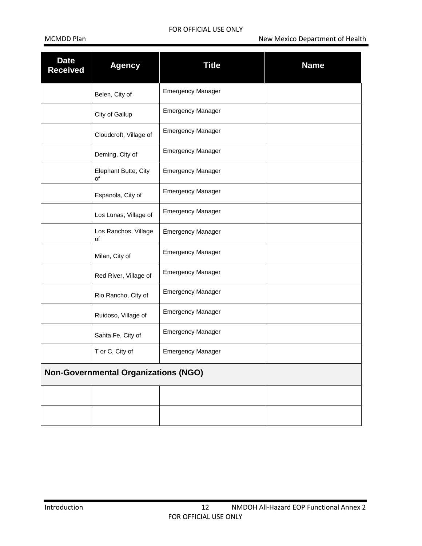| <b>Date</b><br><b>Received</b>              | <b>Agency</b>              | <b>Title</b>             | <b>Name</b> |
|---------------------------------------------|----------------------------|--------------------------|-------------|
|                                             | Belen, City of             | <b>Emergency Manager</b> |             |
|                                             | City of Gallup             | <b>Emergency Manager</b> |             |
|                                             | Cloudcroft, Village of     | <b>Emergency Manager</b> |             |
|                                             | Deming, City of            | <b>Emergency Manager</b> |             |
|                                             | Elephant Butte, City<br>of | <b>Emergency Manager</b> |             |
|                                             | Espanola, City of          | <b>Emergency Manager</b> |             |
|                                             | Los Lunas, Village of      | <b>Emergency Manager</b> |             |
|                                             | Los Ranchos, Village<br>of | <b>Emergency Manager</b> |             |
|                                             | Milan, City of             | <b>Emergency Manager</b> |             |
|                                             | Red River, Village of      | <b>Emergency Manager</b> |             |
|                                             | Rio Rancho, City of        | <b>Emergency Manager</b> |             |
|                                             | Ruidoso, Village of        | <b>Emergency Manager</b> |             |
|                                             | Santa Fe, City of          | <b>Emergency Manager</b> |             |
|                                             | T or C, City of            | <b>Emergency Manager</b> |             |
| <b>Non-Governmental Organizations (NGO)</b> |                            |                          |             |
|                                             |                            |                          |             |
|                                             |                            |                          |             |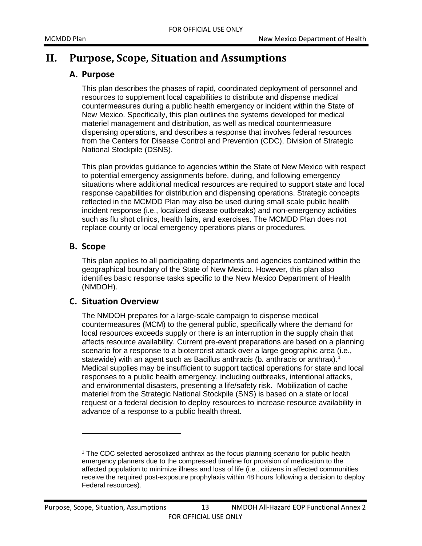### <span id="page-15-1"></span><span id="page-15-0"></span>**II. Purpose, Scope, Situation and Assumptions**

#### **A. Purpose**

This plan describes the phases of rapid, coordinated deployment of personnel and resources to supplement local capabilities to distribute and dispense medical countermeasures during a public health emergency or incident within the State of New Mexico. Specifically, this plan outlines the systems developed for medical materiel management and distribution, as well as medical countermeasure dispensing operations, and describes a response that involves federal resources from the Centers for Disease Control and Prevention (CDC), Division of Strategic National Stockpile (DSNS).

This plan provides guidance to agencies within the State of New Mexico with respect to potential emergency assignments before, during, and following emergency situations where additional medical resources are required to support state and local response capabilities for distribution and dispensing operations. Strategic concepts reflected in the MCMDD Plan may also be used during small scale public health incident response (i.e., localized disease outbreaks) and non-emergency activities such as flu shot clinics, health fairs, and exercises. The MCMDD Plan does not replace county or local emergency operations plans or procedures.

#### <span id="page-15-2"></span>**B. Scope**

<u>.</u>

This plan applies to all participating departments and agencies contained within the geographical boundary of the State of New Mexico. However, this plan also identifies basic response tasks specific to the New Mexico Department of Health (NMDOH).

#### <span id="page-15-3"></span>**C. Situation Overview**

The NMDOH prepares for a large-scale campaign to dispense medical countermeasures (MCM) to the general public, specifically where the demand for local resources exceeds supply or there is an interruption in the supply chain that affects resource availability. Current pre-event preparations are based on a planning scenario for a response to a bioterrorist attack over a large geographic area (i.e., statewide) with an agent such as Bacillus anthracis (b. anthracis or anthrax).<sup>[1](#page-15-4)</sup> Medical supplies may be insufficient to support tactical operations for state and local responses to a public health emergency, including outbreaks, intentional attacks, and environmental disasters, presenting a life/safety risk. Mobilization of cache materiel from the Strategic National Stockpile (SNS) is based on a state or local request or a federal decision to deploy resources to increase resource availability in advance of a response to a public health threat.

<span id="page-15-4"></span><sup>1</sup> The CDC selected aerosolized anthrax as the focus planning scenario for public health emergency planners due to the compressed timeline for provision of medication to the affected population to minimize illness and loss of life (i.e., citizens in affected communities receive the required post-exposure prophylaxis within 48 hours following a decision to deploy Federal resources).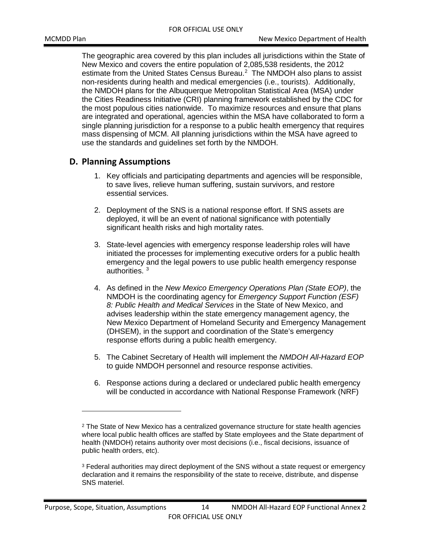The geographic area covered by this plan includes all jurisdictions within the State of New Mexico and covers the entire population of 2,085,538 residents, the 2012 estimate from the United States Census Bureau.<sup>[2](#page-16-1)</sup> The NMDOH also plans to assist non-residents during health and medical emergencies (i.e., tourists). Additionally, the NMDOH plans for the Albuquerque Metropolitan Statistical Area (MSA) under the Cities Readiness Initiative (CRI) planning framework established by the CDC for the most populous cities nationwide. To maximize resources and ensure that plans are integrated and operational, agencies within the MSA have collaborated to form a single planning jurisdiction for a response to a public health emergency that requires mass dispensing of MCM. All planning jurisdictions within the MSA have agreed to use the standards and guidelines set forth by the NMDOH.

#### <span id="page-16-0"></span>**D. Planning Assumptions**

<u>.</u>

- 1. Key officials and participating departments and agencies will be responsible, to save lives, relieve human suffering, sustain survivors, and restore essential services.
- 2. Deployment of the SNS is a national response effort. If SNS assets are deployed, it will be an event of national significance with potentially significant health risks and high mortality rates.
- 3. State-level agencies with emergency response leadership roles will have initiated the processes for implementing executive orders for a public health emergency and the legal powers to use public health emergency response authorities.<sup>[3](#page-16-2)</sup>
- 4. As defined in the *New Mexico Emergency Operations Plan (State EOP)*, the NMDOH is the coordinating agency for *Emergency Support Function (ESF) 8: Public Health and Medical Services* in the State of New Mexico, and advises leadership within the state emergency management agency, the New Mexico Department of Homeland Security and Emergency Management (DHSEM), in the support and coordination of the State's emergency response efforts during a public health emergency.
- 5. The Cabinet Secretary of Health will implement the *NMDOH All-Hazard EOP* to guide NMDOH personnel and resource response activities.
- 6. Response actions during a declared or undeclared public health emergency will be conducted in accordance with National Response Framework (NRF)

<span id="page-16-1"></span><sup>&</sup>lt;sup>2</sup> The State of New Mexico has a centralized governance structure for state health agencies where local public health offices are staffed by State employees and the State department of health (NMDOH) retains authority over most decisions (i.e., fiscal decisions, issuance of public health orders, etc).

<span id="page-16-2"></span><sup>&</sup>lt;sup>3</sup> Federal authorities may direct deployment of the SNS without a state request or emergency declaration and it remains the responsibility of the state to receive, distribute, and dispense SNS materiel.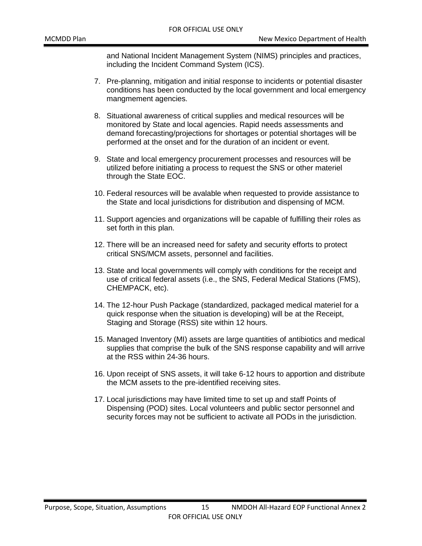and National Incident Management System (NIMS) principles and practices, including the Incident Command System (ICS).

- 7. Pre-planning, mitigation and initial response to incidents or potential disaster conditions has been conducted by the local government and local emergency mangmement agencies.
- 8. Situational awareness of critical supplies and medical resources will be monitored by State and local agencies. Rapid needs assessments and demand forecasting/projections for shortages or potential shortages will be performed at the onset and for the duration of an incident or event.
- 9. State and local emergency procurement processes and resources will be utilized before initiating a process to request the SNS or other materiel through the State EOC.
- 10. Federal resources will be avalable when requested to provide assistance to the State and local jurisdictions for distribution and dispensing of MCM.
- 11. Support agencies and organizations will be capable of fulfilling their roles as set forth in this plan.
- 12. There will be an increased need for safety and security efforts to protect critical SNS/MCM assets, personnel and facilities.
- 13. State and local governments will comply with conditions for the receipt and use of critical federal assets (i.e., the SNS, Federal Medical Stations (FMS), CHEMPACK, etc).
- 14. The 12-hour Push Package (standardized, packaged medical materiel for a quick response when the situation is developing) will be at the Receipt, Staging and Storage (RSS) site within 12 hours.
- 15. Managed Inventory (MI) assets are large quantities of antibiotics and medical supplies that comprise the bulk of the SNS response capability and will arrive at the RSS within 24-36 hours.
- 16. Upon receipt of SNS assets, it will take 6-12 hours to apportion and distribute the MCM assets to the pre-identified receiving sites.
- 17. Local jurisdictions may have limited time to set up and staff Points of Dispensing (POD) sites. Local volunteers and public sector personnel and security forces may not be sufficient to activate all PODs in the jurisdiction.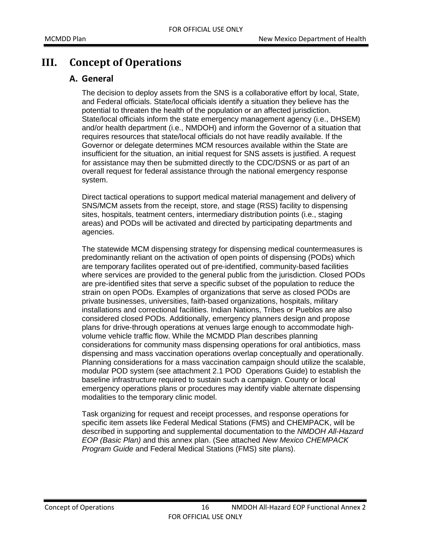### <span id="page-18-1"></span><span id="page-18-0"></span>**III. Concept of Operations**

#### **A. General**

The decision to deploy assets from the SNS is a collaborative effort by local, State, and Federal officials. State/local officials identify a situation they believe has the potential to threaten the health of the population or an affected jurisdiction. State/local officials inform the state emergency management agency (i.e., DHSEM) and/or health department (i.e., NMDOH) and inform the Governor of a situation that requires resources that state/local officials do not have readily available. If the Governor or delegate determines MCM resources available within the State are insufficient for the situation, an initial request for SNS assets is justified. A request for assistance may then be submitted directly to the CDC/DSNS or as part of an overall request for federal assistance through the national emergency response system.

Direct tactical operations to support medical material management and delivery of SNS/MCM assets from the receipt, store, and stage (RSS) facility to dispensing sites, hospitals, teatment centers, intermediary distribution points (i.e., staging areas) and PODs will be activated and directed by participating departments and agencies.

The statewide MCM dispensing strategy for dispensing medical countermeasures is predominantly reliant on the activation of open points of dispensing (PODs) which are temporary facilites operated out of pre-identified, community-based facilities where services are provided to the general public from the jurisdiction. Closed PODs are pre-identified sites that serve a specific subset of the population to reduce the strain on open PODs. Examples of organizations that serve as closed PODs are private businesses, universities, faith-based organizations, hospitals, military installations and correctional facilities. Indian Nations, Tribes or Pueblos are also considered closed PODs. Additionally, emergency planners design and propose plans for drive-through operations at venues large enough to accommodate highvolume vehicle traffic flow. While the MCMDD Plan describes planning considerations for community mass dispensing operations for oral antibiotics, mass dispensing and mass vaccination operations overlap conceptually and operationally. Planning considerations for a mass vaccination campaign should utilize the scalable, modular POD system (see attachment 2.1 POD Operations Guide) to establish the baseline infrastructure required to sustain such a campaign. County or local emergency operations plans or procedures may identify viable alternate dispensing modalities to the temporary clinic model.

Task organizing for request and receipt processes, and response operations for specific item assets like Federal Medical Stations (FMS) and CHEMPACK, will be described in supporting and supplemental documentation to the *NMDOH All-Hazard EOP (Basic Plan)* and this annex plan. (See attached *New Mexico CHEMPACK Program Guide* and Federal Medical Stations (FMS) site plans).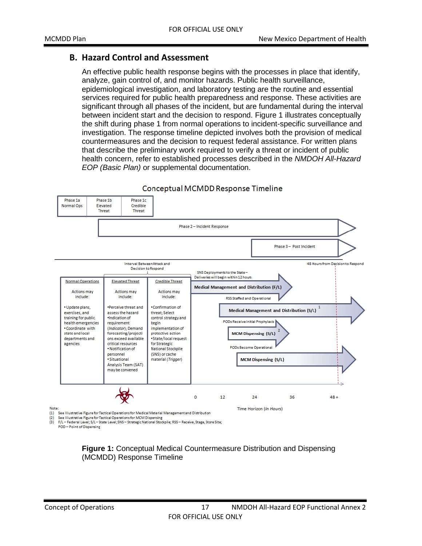#### <span id="page-19-0"></span>**B. Hazard Control and Assessment**

An effective public health response begins with the processes in place that identify, analyze, gain control of, and monitor hazards. Public health surveillance, epidemiological investigation, and laboratory testing are the routine and essential services required for public health preparedness and response. These activities are significant through all phases of the incident, but are fundamental during the interval between incident start and the decision to respond. Figure 1 illustrates conceptually the shift during phase 1 from normal operations to incident-specific surveillance and investigation. The response timeline depicted involves both the provision of medical countermeasures and the decision to request federal assistance. For written plans that describe the preliminary work required to verify a threat or incident of public health concern, refer to established processes described in the *NMDOH All-Hazard EOP (Basic Plan)* or supplemental documentation.



#### Conceptual MCMDD Response Timeline

Note: isi

 $(2)$ 

POD-Point of Dispensing

#### **Figure 1:** Conceptual Medical Countermeasure Distribution and Dispensing (MCMDD) Response Timeline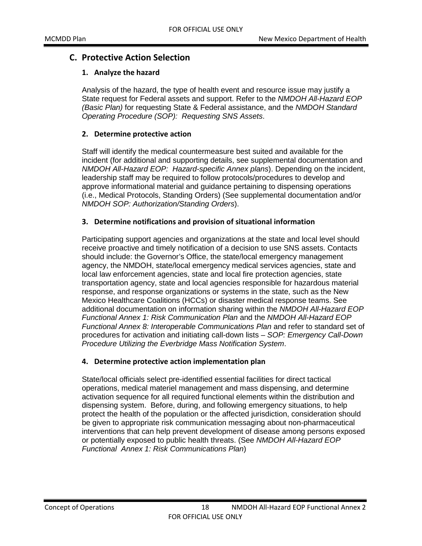#### <span id="page-20-1"></span><span id="page-20-0"></span>**C. Protective Action Selection**

#### **1. Analyze the hazard**

Analysis of the hazard, the type of health event and resource issue may justify a State request for Federal assets and support. Refer to the *NMDOH All-Hazard EOP (Basic Plan)* for requesting State & Federal assistance, and the *NMDOH Standard Operating Procedure (SOP): Requesting SNS Assets*.

#### <span id="page-20-2"></span>**2. Determine protective action**

Staff will identify the medical countermeasure best suited and available for the incident (for additional and supporting details, see supplemental documentation and *NMDOH All-Hazard EOP: Hazard-specific Annex plans*). Depending on the incident, leadership staff may be required to follow protocols/procedures to develop and approve informational material and guidance pertaining to dispensing operations (i.e., Medical Protocols, Standing Orders) (See supplemental documentation and/or *NMDOH SOP: Authorization/Standing Orders*).

#### <span id="page-20-3"></span>**3. Determine notifications and provision of situational information**

Participating support agencies and organizations at the state and local level should receive proactive and timely notification of a decision to use SNS assets. Contacts should include: the Governor's Office, the state/local emergency management agency, the NMDOH, state/local emergency medical services agencies, state and local law enforcement agencies, state and local fire protection agencies, state transportation agency, state and local agencies responsible for hazardous material response, and response organizations or systems in the state, such as the New Mexico Healthcare Coalitions (HCCs) or disaster medical response teams. See additional documentation on information sharing within the *NMDOH All-Hazard EOP Functional Annex 1: Risk Communication Plan* and the *NMDOH All-Hazard EOP Functional Annex 8: Interoperable Communications Plan* and refer to standard set of procedures for activation and initiating call-down lists – *SOP: Emergency Call-Down Procedure Utilizing the Everbridge Mass Notification System*.

#### <span id="page-20-4"></span>**4. Determine protective action implementation plan**

State/local officials select pre-identified essential facilities for direct tactical operations, medical materiel management and mass dispensing, and determine activation sequence for all required functional elements within the distribution and dispensing system. Before, during, and following emergency situations, to help protect the health of the population or the affected jurisdiction, consideration should be given to appropriate risk communication messaging about non-pharmaceutical interventions that can help prevent development of disease among persons exposed or potentially exposed to public health threats. (See *NMDOH All-Hazard EOP Functional Annex 1: Risk Communications Plan*)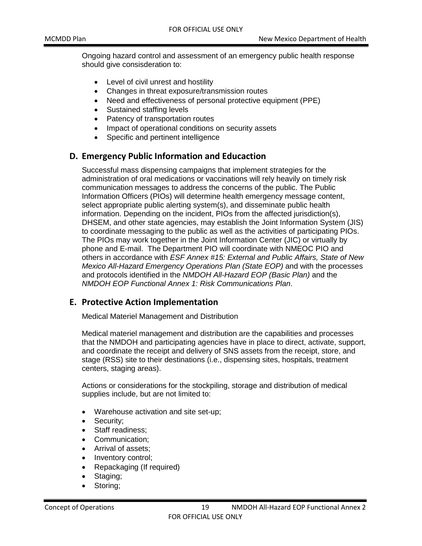Ongoing hazard control and assessment of an emergency public health response should give consisderation to:

- Level of civil unrest and hostility
- Changes in threat exposure/transmission routes
- Need and effectiveness of personal protective equipment (PPE)
- Sustained staffing levels
- Patency of transportation routes
- Impact of operational conditions on security assets
- Specific and pertinent intelligence

#### <span id="page-21-0"></span>**D. Emergency Public Information and Educaction**

Successful mass dispensing campaigns that implement strategies for the administration of oral medications or vaccinations will rely heavily on timely risk communication messages to address the concerns of the public. The Public Information Officers (PIOs) will determine health emergency message content, select appropriate public alerting system(s), and disseminate public health information. Depending on the incident, PIOs from the affected jurisdiction(s), DHSEM, and other state agencies, may establish the Joint Information System (JIS) to coordinate messaging to the public as well as the activities of participating PIOs. The PIOs may work together in the Joint Information Center (JIC) or virtually by phone and E-mail. The Department PIO will coordinate with NMEOC PIO and others in accordance with *ESF Annex #15: External and Public Affairs, State of New Mexico All-Hazard Emergency Operations Plan (State EOP)* and with the processes and protocols identified in the *NMDOH All-Hazard EOP (Basic Plan)* and the *NMDOH EOP Functional Annex 1: Risk Communications Plan*.

#### <span id="page-21-1"></span>**E. Protective Action Implementation**

Medical Materiel Management and Distribution

Medical materiel management and distribution are the capabilities and processes that the NMDOH and participating agencies have in place to direct, activate, support, and coordinate the receipt and delivery of SNS assets from the receipt, store, and stage (RSS) site to their destinations (i.e., dispensing sites, hospitals, treatment centers, staging areas).

Actions or considerations for the stockpiling, storage and distribution of medical supplies include, but are not limited to:

- Warehouse activation and site set-up;
- Security;
- Staff readiness:
- Communication;
- Arrival of assets;
- Inventory control;
- Repackaging (If required)
- Staging;
- Storing;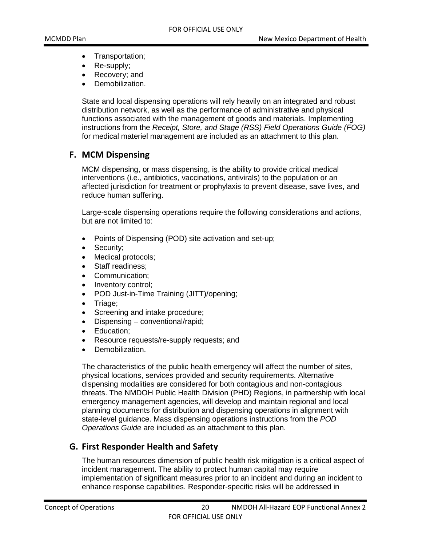- Transportation;
- Re-supply;
- Recovery; and
- Demobilization.

State and local dispensing operations will rely heavily on an integrated and robust distribution network, as well as the performance of administrative and physical functions associated with the management of goods and materials. Implementing instructions from the *Receipt, Store, and Stage (RSS) Field Operations Guide (FOG)* for medical materiel management are included as an attachment to this plan.

#### <span id="page-22-0"></span>**F. MCM Dispensing**

MCM dispensing, or mass dispensing, is the ability to provide critical medical interventions (i.e., antibiotics, vaccinations, antivirals) to the population or an affected jurisdiction for treatment or prophylaxis to prevent disease, save lives, and reduce human suffering.

Large-scale dispensing operations require the following considerations and actions, but are not limited to:

- Points of Dispensing (POD) site activation and set-up;
- Security;
- Medical protocols;
- Staff readiness:
- Communication;
- Inventory control;
- POD Just-in-Time Training (JITT)/opening;
- Triage;
- Screening and intake procedure;
- Dispensing conventional/rapid;
- Education:
- Resource requests/re-supply requests; and
- Demobilization.

The characteristics of the public health emergency will affect the number of sites, physical locations, services provided and security requirements. Alternative dispensing modalities are considered for both contagious and non-contagious threats. The NMDOH Public Health Division (PHD) Regions, in partnership with local emergency management agencies, will develop and maintain regional and local planning documents for distribution and dispensing operations in alignment with state-level guidance. Mass dispensing operations instructions from the *POD Operations Guide* are included as an attachment to this plan.

#### <span id="page-22-1"></span>**G. First Responder Health and Safety**

The human resources dimension of public health risk mitigation is a critical aspect of incident management. The ability to protect human capital may require implementation of significant measures prior to an incident and during an incident to enhance response capabilities. Responder-specific risks will be addressed in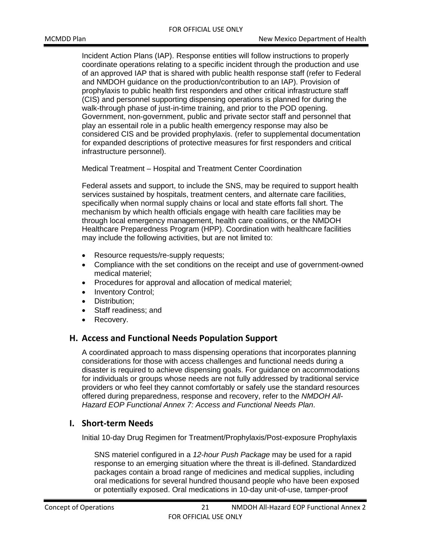Incident Action Plans (IAP). Response entities will follow instructions to properly coordinate operations relating to a specific incident through the production and use of an approved IAP that is shared with public health response staff (refer to Federal and NMDOH guidance on the production/contribution to an IAP). Provision of prophylaxis to public health first responders and other critical infrastructure staff (CIS) and personnel supporting dispensing operations is planned for during the walk-through phase of just-in-time training, and prior to the POD opening. Government, non-government, public and private sector staff and personnel that play an essentail role in a public health emergency response may also be considered CIS and be provided prophylaxis. (refer to supplemental documentation for expanded descriptions of protective measures for first responders and critical infrastructure personnel).

Medical Treatment – Hospital and Treatment Center Coordination

Federal assets and support, to include the SNS, may be required to support health services sustained by hospitals, treatment centers, and alternate care facilities, specifically when normal supply chains or local and state efforts fall short. The mechanism by which health officials engage with health care facilities may be through local emergency management, health care coalitions, or the NMDOH Healthcare Preparedness Program (HPP). Coordination with healthcare facilities may include the following activities, but are not limited to:

- Resource requests/re-supply requests;
- Compliance with the set conditions on the receipt and use of government-owned medical materiel;
- Procedures for approval and allocation of medical materiel;
- Inventory Control;
- Distribution:
- Staff readiness: and
- Recovery.

#### <span id="page-23-0"></span>**H. Access and Functional Needs Population Support**

A coordinated approach to mass dispensing operations that incorporates planning considerations for those with access challenges and functional needs during a disaster is required to achieve dispensing goals. For guidance on accommodations for individuals or groups whose needs are not fully addressed by traditional service providers or who feel they cannot comfortably or safely use the standard resources offered during preparedness, response and recovery, refer to the *NMDOH All-Hazard EOP Functional Annex 7: Access and Functional Needs Plan*.

#### <span id="page-23-1"></span>**I. Short-term Needs**

Initial 10-day Drug Regimen for Treatment/Prophylaxis/Post-exposure Prophylaxis

SNS materiel configured in a *12-hour Push Package* may be used for a rapid response to an emerging situation where the threat is ill-defined. Standardized packages contain a broad range of medicines and medical supplies, including oral medications for several hundred thousand people who have been exposed or potentially exposed. Oral medications in 10-day unit-of-use, tamper-proof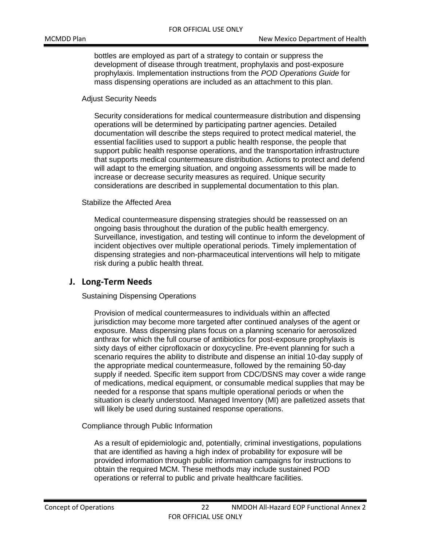bottles are employed as part of a strategy to contain or suppress the development of disease through treatment, prophylaxis and post-exposure prophylaxis. Implementation instructions from the *POD Operations Guide* for mass dispensing operations are included as an attachment to this plan.

#### Adjust Security Needs

Security considerations for medical countermeasure distribution and dispensing operations will be determined by participating partner agencies. Detailed documentation will describe the steps required to protect medical materiel, the essential facilities used to support a public health response, the people that support public health response operations, and the transportation infrastructure that supports medical countermeasure distribution. Actions to protect and defend will adapt to the emerging situation, and ongoing assessments will be made to increase or decrease security measures as required. Unique security considerations are described in supplemental documentation to this plan.

#### Stabilize the Affected Area

Medical countermeasure dispensing strategies should be reassessed on an ongoing basis throughout the duration of the public health emergency. Surveillance, investigation, and testing will continue to inform the development of incident objectives over multiple operational periods. Timely implementation of dispensing strategies and non-pharmaceutical interventions will help to mitigate risk during a public health threat.

#### <span id="page-24-0"></span>**J. Long-Term Needs**

Sustaining Dispensing Operations

Provision of medical countermeasures to individuals within an affected jurisdiction may become more targeted after continued analyses of the agent or exposure. Mass dispensing plans focus on a planning scenario for aerosolized anthrax for which the full course of antibiotics for post-exposure prophylaxis is sixty days of either ciprofloxacin or doxycycline. Pre-event planning for such a scenario requires the ability to distribute and dispense an initial 10-day supply of the appropriate medical countermeasure, followed by the remaining 50-day supply if needed. Specific item support from CDC/DSNS may cover a wide range of medications, medical equipment, or consumable medical supplies that may be needed for a response that spans multiple operational periods or when the situation is clearly understood. Managed Inventory (MI) are palletized assets that will likely be used during sustained response operations.

Compliance through Public Information

As a result of epidemiologic and, potentially, criminal investigations, populations that are identified as having a high index of probability for exposure will be provided information through public information campaigns for instructions to obtain the required MCM. These methods may include sustained POD operations or referral to public and private healthcare facilities.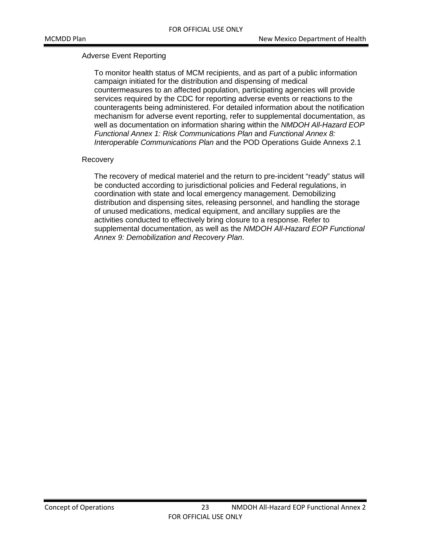#### Adverse Event Reporting

To monitor health status of MCM recipients, and as part of a public information campaign initiated for the distribution and dispensing of medical countermeasures to an affected population, participating agencies will provide services required by the CDC for reporting adverse events or reactions to the counteragents being administered. For detailed information about the notification mechanism for adverse event reporting, refer to supplemental documentation, as well as documentation on information sharing within the *NMDOH All-Hazard EOP Functional Annex 1: Risk Communications Plan* and *Functional Annex 8: Interoperable Communications Plan* and the POD Operations Guide Annexs 2.1

#### Recovery

The recovery of medical materiel and the return to pre-incident "ready" status will be conducted according to jurisdictional policies and Federal regulations, in coordination with state and local emergency management. Demobilizing distribution and dispensing sites, releasing personnel, and handling the storage of unused medications, medical equipment, and ancillary supplies are the activities conducted to effectively bring closure to a response. Refer to supplemental documentation, as well as the *NMDOH All-Hazard EOP Functional Annex 9: Demobilization and Recovery Plan*.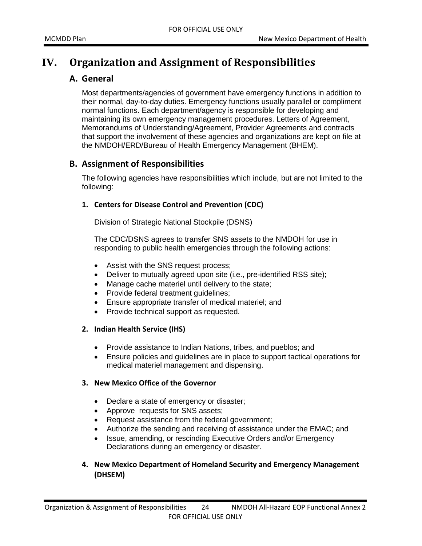## <span id="page-26-1"></span><span id="page-26-0"></span>**IV. Organization and Assignment of Responsibilities**

### **A. General**

Most departments/agencies of government have emergency functions in addition to their normal, day-to-day duties. Emergency functions usually parallel or compliment normal functions. Each department/agency is responsible for developing and maintaining its own emergency management procedures. Letters of Agreement, Memorandums of Understanding/Agreement, Provider Agreements and contracts that support the involvement of these agencies and organizations are kept on file at the NMDOH/ERD/Bureau of Health Emergency Management (BHEM).

#### <span id="page-26-2"></span>**B. Assignment of Responsibilities**

The following agencies have responsibilities which include, but are not limited to the following:

#### <span id="page-26-3"></span>**1. Centers for Disease Control and Prevention (CDC)**

Division of Strategic National Stockpile (DSNS)

The CDC/DSNS agrees to transfer SNS assets to the NMDOH for use in responding to public health emergencies through the following actions:

- Assist with the SNS request process;
- Deliver to mutually agreed upon site (i.e., pre-identified RSS site);
- Manage cache materiel until delivery to the state;
- Provide federal treatment guidelines;
- Ensure appropriate transfer of medical materiel; and
- Provide technical support as requested.

#### <span id="page-26-4"></span>**2. Indian Health Service (IHS)**

- Provide assistance to Indian Nations, tribes, and pueblos; and
- Ensure policies and guidelines are in place to support tactical operations for medical materiel management and dispensing.

#### <span id="page-26-5"></span>**3. New Mexico Office of the Governor**

- Declare a state of emergency or disaster;
- Approve requests for SNS assets;
- Request assistance from the federal government;
- Authorize the sending and receiving of assistance under the EMAC; and
- Issue, amending, or rescinding Executive Orders and/or Emergency Declarations during an emergency or disaster.
- <span id="page-26-6"></span>**4. New Mexico Department of Homeland Security and Emergency Management (DHSEM)**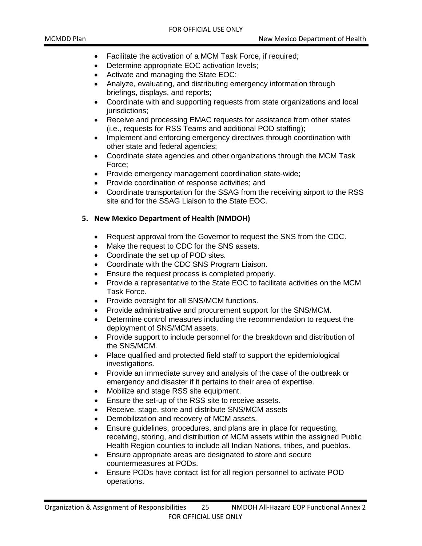- Facilitate the activation of a MCM Task Force, if required;
- Determine appropriate EOC activation levels;
- Activate and managing the State EOC;
- Analyze, evaluating, and distributing emergency information through briefings, displays, and reports;
- Coordinate with and supporting requests from state organizations and local jurisdictions;
- Receive and processing EMAC requests for assistance from other states (i.e., requests for RSS Teams and additional POD staffing);
- Implement and enforcing emergency directives through coordination with other state and federal agencies;
- Coordinate state agencies and other organizations through the MCM Task Force;
- Provide emergency management coordination state-wide;
- Provide coordination of response activities; and
- Coordinate transportation for the SSAG from the receiving airport to the RSS site and for the SSAG Liaison to the State EOC.

#### **5. New Mexico Department of Health (NMDOH)**

- Request approval from the Governor to request the SNS from the CDC.
- Make the request to CDC for the SNS assets.
- Coordinate the set up of POD sites.
- Coordinate with the CDC SNS Program Liaison.
- Ensure the request process is completed properly.
- Provide a representative to the State EOC to facilitate activities on the MCM Task Force.
- Provide oversight for all SNS/MCM functions.
- Provide administrative and procurement support for the SNS/MCM.
- Determine control measures including the recommendation to request the deployment of SNS/MCM assets.
- Provide support to include personnel for the breakdown and distribution of the SNS/MCM.
- Place qualified and protected field staff to support the epidemiological investigations.
- Provide an immediate survey and analysis of the case of the outbreak or emergency and disaster if it pertains to their area of expertise.
- Mobilize and stage RSS site equipment.
- Ensure the set-up of the RSS site to receive assets.
- Receive, stage, store and distribute SNS/MCM assets
- Demobilization and recovery of MCM assets.
- Ensure guidelines, procedures, and plans are in place for requesting, receiving, storing, and distribution of MCM assets within the assigned Public Health Region counties to include all Indian Nations, tribes, and pueblos.
- Ensure appropriate areas are designated to store and secure countermeasures at PODs.
- Ensure PODs have contact list for all region personnel to activate POD operations.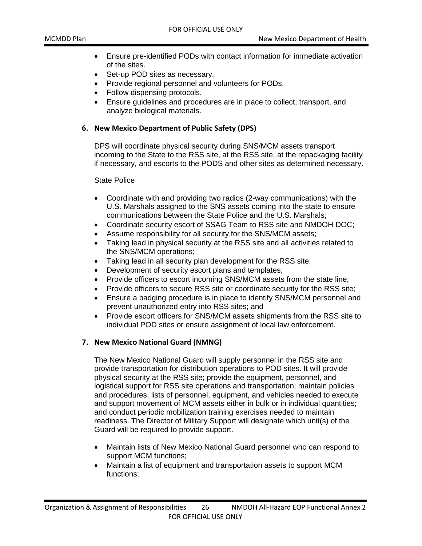- Ensure pre-identified PODs with contact information for immediate activation of the sites.
- Set-up POD sites as necessary.
- Provide regional personnel and volunteers for PODs.
- Follow dispensing protocols.
- Ensure guidelines and procedures are in place to collect, transport, and analyze biological materials.

#### <span id="page-28-0"></span>**6. New Mexico Department of Public Safety (DPS)**

DPS will coordinate physical security during SNS/MCM assets transport incoming to the State to the RSS site, at the RSS site, at the repackaging facility if necessary, and escorts to the PODS and other sites as determined necessary.

#### State Police

- Coordinate with and providing two radios (2-way communications) with the U.S. Marshals assigned to the SNS assets coming into the state to ensure communications between the State Police and the U.S. Marshals;
- Coordinate security escort of SSAG Team to RSS site and NMDOH DOC;
- Assume responsibility for all security for the SNS/MCM assets;
- Taking lead in physical security at the RSS site and all activities related to the SNS/MCM operations;
- Taking lead in all security plan development for the RSS site;
- Development of security escort plans and templates;
- Provide officers to escort incoming SNS/MCM assets from the state line;
- Provide officers to secure RSS site or coordinate security for the RSS site;
- Ensure a badging procedure is in place to identify SNS/MCM personnel and prevent unauthorized entry into RSS sites; and
- Provide escort officers for SNS/MCM assets shipments from the RSS site to individual POD sites or ensure assignment of local law enforcement.

#### <span id="page-28-1"></span>**7. New Mexico National Guard (NMNG)**

The New Mexico National Guard will supply personnel in the RSS site and provide transportation for distribution operations to POD sites. It will provide physical security at the RSS site; provide the equipment, personnel, and logistical support for RSS site operations and transportation; maintain policies and procedures, lists of personnel, equipment, and vehicles needed to execute and support movement of MCM assets either in bulk or in individual quantities; and conduct periodic mobilization training exercises needed to maintain readiness. The Director of Military Support will designate which unit(s) of the Guard will be required to provide support.

- Maintain lists of New Mexico National Guard personnel who can respond to support MCM functions;
- Maintain a list of equipment and transportation assets to support MCM functions;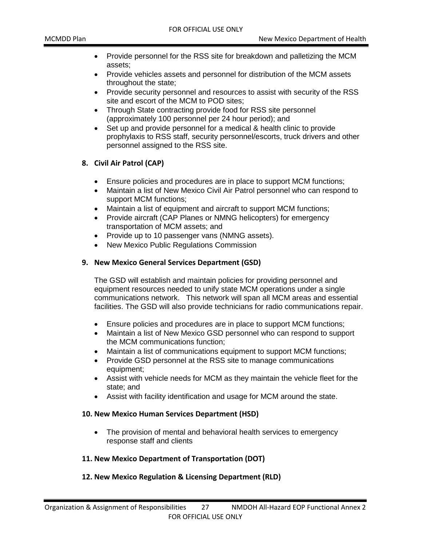- Provide personnel for the RSS site for breakdown and palletizing the MCM assets;
- Provide vehicles assets and personnel for distribution of the MCM assets throughout the state;
- Provide security personnel and resources to assist with security of the RSS site and escort of the MCM to POD sites;
- Through State contracting provide food for RSS site personnel (approximately 100 personnel per 24 hour period); and
- Set up and provide personnel for a medical & health clinic to provide prophylaxis to RSS staff, security personnel/escorts, truck drivers and other personnel assigned to the RSS site.

#### <span id="page-29-0"></span>**8. Civil Air Patrol (CAP)**

- Ensure policies and procedures are in place to support MCM functions;
- Maintain a list of New Mexico Civil Air Patrol personnel who can respond to support MCM functions;
- Maintain a list of equipment and aircraft to support MCM functions;
- Provide aircraft (CAP Planes or NMNG helicopters) for emergency transportation of MCM assets; and
- Provide up to 10 passenger vans (NMNG assets).
- New Mexico Public Regulations Commission

#### <span id="page-29-1"></span>**9. New Mexico General Services Department (GSD)**

The GSD will establish and maintain policies for providing personnel and equipment resources needed to unify state MCM operations under a single communications network. This network will span all MCM areas and essential facilities. The GSD will also provide technicians for radio communications repair.

- Ensure policies and procedures are in place to support MCM functions;
- Maintain a list of New Mexico GSD personnel who can respond to support the MCM communications function;
- Maintain a list of communications equipment to support MCM functions;
- Provide GSD personnel at the RSS site to manage communications equipment;
- Assist with vehicle needs for MCM as they maintain the vehicle fleet for the state; and
- Assist with facility identification and usage for MCM around the state.

#### <span id="page-29-2"></span>**10. New Mexico Human Services Department (HSD)**

• The provision of mental and behavioral health services to emergency response staff and clients

#### <span id="page-29-3"></span>**11. New Mexico Department of Transportation (DOT)**

#### <span id="page-29-4"></span>**12. New Mexico Regulation & Licensing Department (RLD)**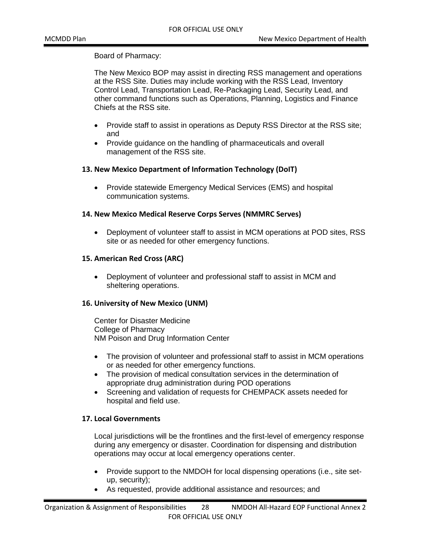Board of Pharmacy:

The New Mexico BOP may assist in directing RSS management and operations at the RSS Site. Duties may include working with the RSS Lead, Inventory Control Lead, Transportation Lead, Re-Packaging Lead, Security Lead, and other command functions such as Operations, Planning, Logistics and Finance Chiefs at the RSS site.

- Provide staff to assist in operations as Deputy RSS Director at the RSS site; and
- Provide guidance on the handling of pharmaceuticals and overall management of the RSS site.

#### <span id="page-30-0"></span>**13. New Mexico Department of Information Technology (DoIT)**

• Provide statewide Emergency Medical Services (EMS) and hospital communication systems.

#### <span id="page-30-1"></span>**14. New Mexico Medical Reserve Corps Serves (NMMRC Serves)**

• Deployment of volunteer staff to assist in MCM operations at POD sites, RSS site or as needed for other emergency functions.

#### <span id="page-30-2"></span>**15. American Red Cross (ARC)**

• Deployment of volunteer and professional staff to assist in MCM and sheltering operations.

#### <span id="page-30-3"></span>**16. University of New Mexico (UNM)**

Center for Disaster Medicine College of Pharmacy NM Poison and Drug Information Center

- The provision of volunteer and professional staff to assist in MCM operations or as needed for other emergency functions.
- The provision of medical consultation services in the determination of appropriate drug administration during POD operations
- Screening and validation of requests for CHEMPACK assets needed for hospital and field use.

#### <span id="page-30-4"></span>**17. Local Governments**

Local jurisdictions will be the frontlines and the first-level of emergency response during any emergency or disaster. Coordination for dispensing and distribution operations may occur at local emergency operations center.

- Provide support to the NMDOH for local dispensing operations (i.e., site setup, security);
- As requested, provide additional assistance and resources; and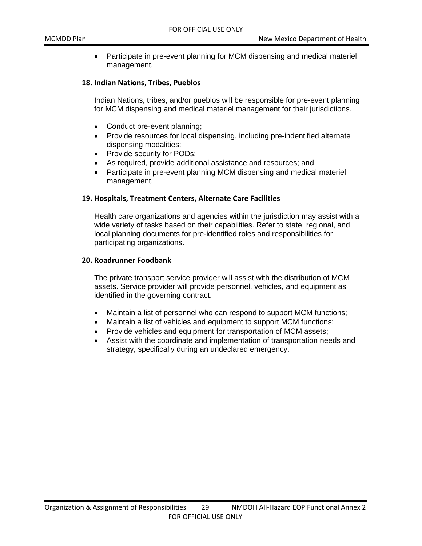• Participate in pre-event planning for MCM dispensing and medical materiel management.

#### <span id="page-31-0"></span>**18. Indian Nations, Tribes, Pueblos**

Indian Nations, tribes, and/or pueblos will be responsible for pre-event planning for MCM dispensing and medical materiel management for their jurisdictions.

- Conduct pre-event planning;
- Provide resources for local dispensing, including pre-indentified alternate dispensing modalities;
- Provide security for PODs;
- As required, provide additional assistance and resources; and
- Participate in pre-event planning MCM dispensing and medical materiel management.

#### <span id="page-31-1"></span>**19. Hospitals, Treatment Centers, Alternate Care Facilities**

Health care organizations and agencies within the jurisdiction may assist with a wide variety of tasks based on their capabilities. Refer to state, regional, and local planning documents for pre-identified roles and responsibilities for participating organizations.

#### **20. Roadrunner Foodbank**

The private transport service provider will assist with the distribution of MCM assets. Service provider will provide personnel, vehicles, and equipment as identified in the governing contract.

- Maintain a list of personnel who can respond to support MCM functions;
- Maintain a list of vehicles and equipment to support MCM functions;
- Provide vehicles and equipment for transportation of MCM assets;
- Assist with the coordinate and implementation of transportation needs and strategy, specifically during an undeclared emergency.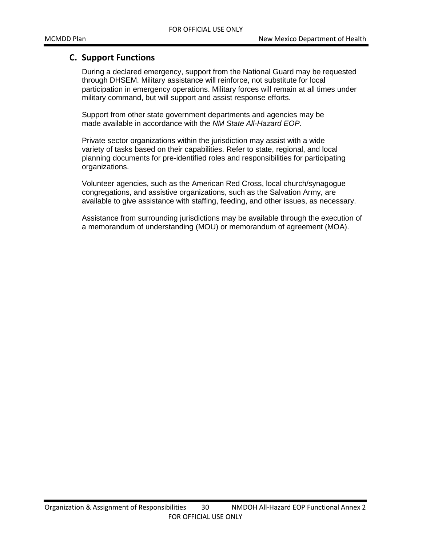#### <span id="page-32-0"></span>**C. Support Functions**

During a declared emergency, support from the National Guard may be requested through DHSEM. Military assistance will reinforce, not substitute for local participation in emergency operations. Military forces will remain at all times under military command, but will support and assist response efforts.

Support from other state government departments and agencies may be made available in accordance with the *NM State All-Hazard EOP*.

Private sector organizations within the jurisdiction may assist with a wide variety of tasks based on their capabilities. Refer to state, regional, and local planning documents for pre-identified roles and responsibilities for participating organizations.

Volunteer agencies, such as the American Red Cross, local church/synagogue congregations, and assistive organizations, such as the Salvation Army, are available to give assistance with staffing, feeding, and other issues, as necessary.

Assistance from surrounding jurisdictions may be available through the execution of a memorandum of understanding (MOU) or memorandum of agreement (MOA).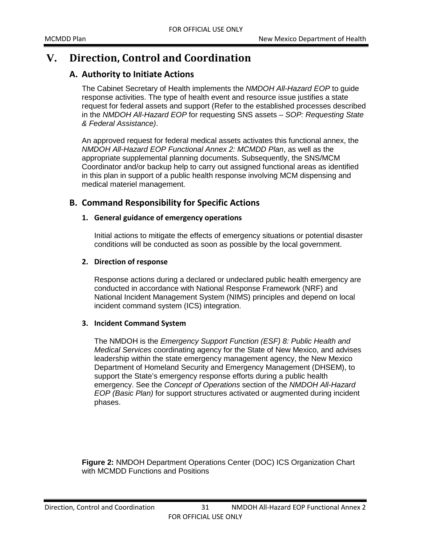## <span id="page-33-1"></span><span id="page-33-0"></span>**V. Direction, Control and Coordination**

#### **A. Authority to Initiate Actions**

The Cabinet Secretary of Health implements the *NMDOH All-Hazard EOP* to guide response activities. The type of health event and resource issue justifies a state request for federal assets and support (Refer to the established processes described in the *NMDOH All-Hazard EOP* for requesting SNS assets – *SOP: Requesting State & Federal Assistance)*.

An approved request for federal medical assets activates this functional annex, the *NMDOH All-Hazard EOP Functional Annex 2: MCMDD Plan*, as well as the appropriate supplemental planning documents. Subsequently, the SNS/MCM Coordinator and/or backup help to carry out assigned functional areas as identified in this plan in support of a public health response involving MCM dispensing and medical materiel management.

#### <span id="page-33-3"></span><span id="page-33-2"></span>**B. Command Responsibility for Specific Actions**

#### **1. General guidance of emergency operations**

Initial actions to mitigate the effects of emergency situations or potential disaster conditions will be conducted as soon as possible by the local government.

#### <span id="page-33-4"></span>**2. Direction of response**

Response actions during a declared or undeclared public health emergency are conducted in accordance with National Response Framework (NRF) and National Incident Management System (NIMS) principles and depend on local incident command system (ICS) integration.

#### <span id="page-33-5"></span>**3. Incident Command System**

The NMDOH is the *Emergency Support Function (ESF) 8: Public Health and Medical Services* coordinating agency for the State of New Mexico, and advises leadership within the state emergency management agency, the New Mexico Department of Homeland Security and Emergency Management (DHSEM), to support the State's emergency response efforts during a public health emergency. See the *Concept of Operations* section of the *NMDOH All-Hazard EOP (Basic Plan)* for support structures activated or augmented during incident phases.

**Figure 2:** NMDOH Department Operations Center (DOC) ICS Organization Chart with MCMDD Functions and Positions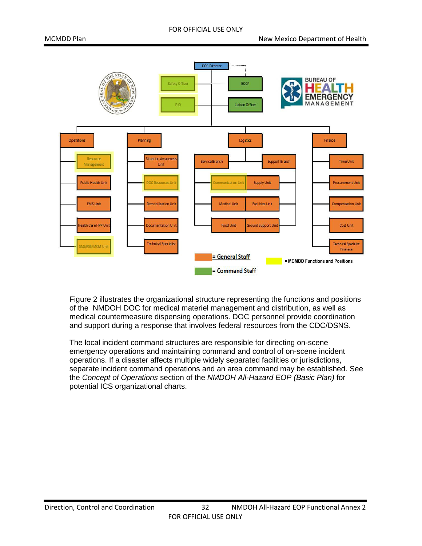



Figure 2 illustrates the organizational structure representing the functions and positions of the NMDOH DOC for medical materiel management and distribution, as well as medical countermeasure dispensing operations. DOC personnel provide coordination and support during a response that involves federal resources from the CDC/DSNS.

The local incident command structures are responsible for directing on-scene emergency operations and maintaining command and control of on-scene incident operations. If a disaster affects multiple widely separated facilities or jurisdictions, separate incident command operations and an area command may be established. See the *Concept of Operations* section of the *NMDOH All-Hazard EOP (Basic Plan)* for potential ICS organizational charts.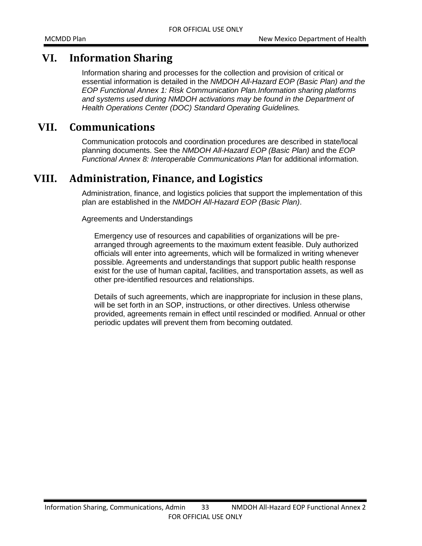### <span id="page-35-0"></span>**VI. Information Sharing**

Information sharing and processes for the collection and provision of critical or essential information is detailed in the *NMDOH All-Hazard EOP (Basic Plan) and the EOP Functional Annex 1: Risk Communication Plan.Information sharing platforms and systems used during NMDOH activations may be found in the Department of Health Operations Center (DOC) Standard Operating Guidelines.*

### <span id="page-35-1"></span>**VII. Communications**

Communication protocols and coordination procedures are described in state/local planning documents. See the *NMDOH All-Hazard EOP (Basic Plan)* and the *EOP Functional Annex 8: Interoperable Communications Plan* for additional information.

### <span id="page-35-2"></span>**VIII. Administration, Finance, and Logistics**

Administration, finance, and logistics policies that support the implementation of this plan are established in the *NMDOH All-Hazard EOP (Basic Plan)*.

Agreements and Understandings

Emergency use of resources and capabilities of organizations will be prearranged through agreements to the maximum extent feasible. Duly authorized officials will enter into agreements, which will be formalized in writing whenever possible. Agreements and understandings that support public health response exist for the use of human capital, facilities, and transportation assets, as well as other pre-identified resources and relationships.

Details of such agreements, which are inappropriate for inclusion in these plans, will be set forth in an SOP, instructions, or other directives. Unless otherwise provided, agreements remain in effect until rescinded or modified. Annual or other periodic updates will prevent them from becoming outdated.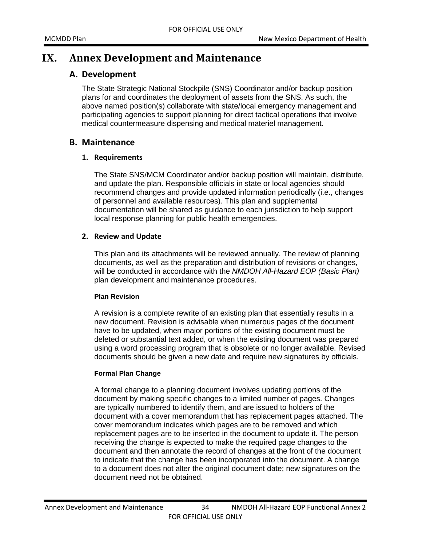### <span id="page-36-1"></span><span id="page-36-0"></span>**IX. Annex Development and Maintenance**

#### **A. Development**

The State Strategic National Stockpile (SNS) Coordinator and/or backup position plans for and coordinates the deployment of assets from the SNS. As such, the above named position(s) collaborate with state/local emergency management and participating agencies to support planning for direct tactical operations that involve medical countermeasure dispensing and medical materiel management.

#### <span id="page-36-3"></span><span id="page-36-2"></span>**B. Maintenance**

#### **1. Requirements**

The State SNS/MCM Coordinator and/or backup position will maintain, distribute, and update the plan. Responsible officials in state or local agencies should recommend changes and provide updated information periodically (i.e., changes of personnel and available resources). This plan and supplemental documentation will be shared as guidance to each jurisdiction to help support local response planning for public health emergencies.

#### <span id="page-36-4"></span>**2. Review and Update**

This plan and its attachments will be reviewed annually. The review of planning documents, as well as the preparation and distribution of revisions or changes, will be conducted in accordance with the *NMDOH All-Hazard EOP (Basic Plan)* plan development and maintenance procedures.

#### **Plan Revision**

A revision is a complete rewrite of an existing plan that essentially results in a new document. Revision is advisable when numerous pages of the document have to be updated, when major portions of the existing document must be deleted or substantial text added, or when the existing document was prepared using a word processing program that is obsolete or no longer available. Revised documents should be given a new date and require new signatures by officials.

#### **Formal Plan Change**

A formal change to a planning document involves updating portions of the document by making specific changes to a limited number of pages. Changes are typically numbered to identify them, and are issued to holders of the document with a cover memorandum that has replacement pages attached. The cover memorandum indicates which pages are to be removed and which replacement pages are to be inserted in the document to update it. The person receiving the change is expected to make the required page changes to the document and then annotate the record of changes at the front of the document to indicate that the change has been incorporated into the document. A change to a document does not alter the original document date; new signatures on the document need not be obtained.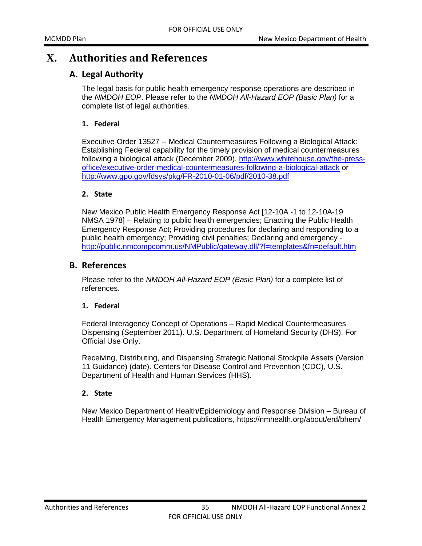### <span id="page-37-1"></span><span id="page-37-0"></span>**X. Authorities and References**

#### **A. Legal Authority**

The legal basis for public health emergency response operations are described in the *NMDOH EOP*. Please refer to the *NMDOH All-Hazard EOP (Basic Plan)* for a complete list of legal authorities.

#### <span id="page-37-2"></span>**1. Federal**

Executive Order 13527 -- Medical Countermeasures Following a Biological Attack: Establishing Federal capability for the timely provision of medical countermeasures following a biological attack (December 2009). [http://www.whitehouse.gov/the-press](http://www.whitehouse.gov/the-press-office/executive-order-medical-countermeasures-following-a-biological-attack)[office/executive-order-medical-countermeasures-following-a-biological-attack](http://www.whitehouse.gov/the-press-office/executive-order-medical-countermeasures-following-a-biological-attack) or <http://www.gpo.gov/fdsys/pkg/FR-2010-01-06/pdf/2010-38.pdf>

#### <span id="page-37-3"></span>**2. State**

New Mexico Public Health Emergency Response Act [12-10A -1 to 12-10A-19 NMSA 1978] – Relating to public health emergencies; Enacting the Public Health Emergency Response Act; Providing procedures for declaring and responding to a public health emergency; Providing civil penalties; Declaring and emergency <http://public.nmcompcomm.us/NMPublic/gateway.dll/?f=templates&fn=default.htm>

#### <span id="page-37-4"></span>**B. References**

Please refer to the *NMDOH All-Hazard EOP (Basic Plan)* for a complete list of references.

#### <span id="page-37-5"></span>**1. Federal**

Federal Interagency Concept of Operations – Rapid Medical Countermeasures Dispensing (September 2011). U.S. Department of Homeland Security (DHS). For Official Use Only.

Receiving, Distributing, and Dispensing Strategic National Stockpile Assets (Version 11 Guidance) (date). Centers for Disease Control and Prevention (CDC), U.S. Department of Health and Human Services (HHS).

#### **2. State**

New Mexico Department of Health/Epidemiology and Response Division – Bureau of Health Emergency Management publications, https://nmhealth.org/about/erd/bhem/